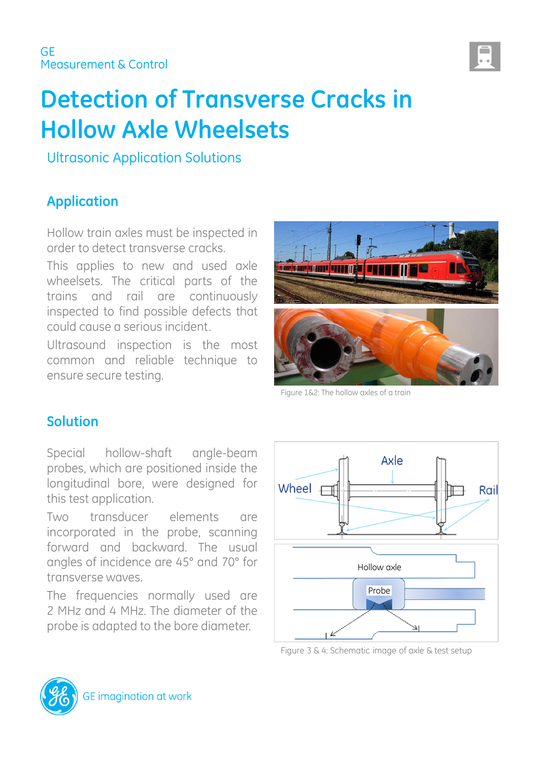

# **Detection of Transverse Cracks in Hollow Axle Wheelsets**

Ultrasonic Application Solutions

# **Application**

Hollow train axles must be inspected in order to detect transverse cracks.

This applies to new and used axle wheelsets. The critical parts of the trains and rail are continuously inspected to find possible defects that could cause a serious incident.

Ultrasound inspection is the most common and reliable technique to ensure secure testing.



Figure 1&2: The hollow axles of a train

## **Solution**

Special hollow-shaft angle-beam probes, which are positioned inside the longitudinal bore, were designed for this test application.

Two transducer elements are incorporated in the probe, scanning forward and backward. The usual angles of incidence are 45° and 70° for transverse waves.

The frequencies normally used are 2 MHz and 4 MHz. The diameter of the probe is adapted to the bore diameter.



Figure 3 & 4: Schematic image of axle & test setup